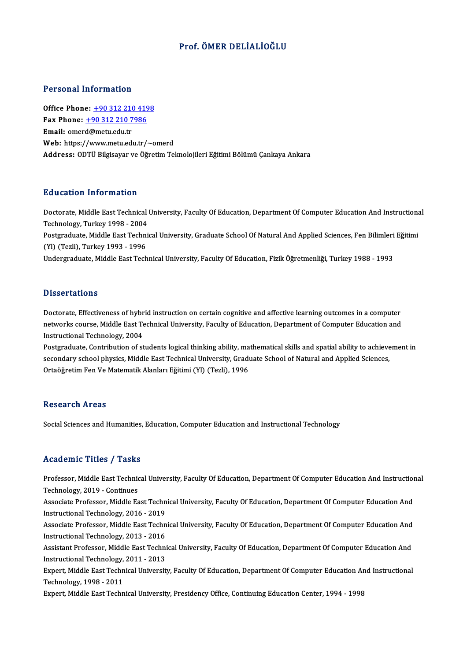### Prof. ÖMER DELİALİOĞLU

#### Personal Information

Office Phone: +90 312 210 4198 Fax Phone: <u>+90 312 210 419</u><br>Fax Phone: <u>+90 312 210 7986</u><br>Fmail: emerg@metu.edu.tr Office Phone: <u>+90 312 210 7</u><br>Fax Phone: <u>+90 312 210 7</u><br>Email: omer[d@metu.edu.tr](tel:+90 312 210 7986) Email: omerd@metu.edu.tr<br>Web: https://www.metu.edu.tr/~omerd Address: ODTÜ Bilgisayar ve Öğretim Teknolojileri Eğitimi Bölümü Çankaya Ankara

#### Education Information

**Education Information**<br>Doctorate, Middle East Technical University, Faculty Of Education, Department Of Computer Education And Instructional<br>Technology, Turkey 1998–2004 Technology, Turkey<br>Technology, Turkey 1998 - 2004<br>Pestavaduate Middle Fest Techni Doctorate, Middle East Technical University, Faculty Of Education, Department Of Computer Education And Instruction<br>Technology, Turkey 1998 - 2004<br>Postgraduate, Middle East Technical University, Graduate School Of Natural

Technology, Turkey 1998 - 2004<br>Postgraduate, Middle East Techni<br>(Yl) (Tezli), Turkey 1993 - 1996<br>Undergraduate Middle Fest Tech Postgraduate, Middle East Technical University, Graduate School Of Natural And Applied Sciences, Fen Bilimleri<br>(Yl) (Tezli), Turkey 1993 - 1996<br>Undergraduate, Middle East Technical University, Faculty Of Education, Fizik Ö

Undergraduate, Middle East Technical University, Faculty Of Education, Fizik Öğretmenliği, Turkey 1988 - 1993<br>Dissertations

Doctorate, Effectiveness of hybrid instruction on certain cognitive and affective learning outcomes in a computer Disself cations<br>Doctorate, Effectiveness of hybrid instruction on certain cognitive and affective learning outcomes in a computer<br>Instructional Technology, 2004 Doctorate, Effectiveness of hybr<br>networks course, Middle East Te<br>Instructional Technology, 2004<br>Postaraduate, Contribution of st networks course, Middle East Technical University, Faculty of Education, Department of Computer Education and<br>Instructional Technology, 2004<br>Postgraduate, Contribution of students logical thinking ability, mathematical ski

Instructional Technology, 2004<br>Postgraduate, Contribution of students logical thinking ability, mathematical skills and spatial ability to achieve<br>Secondary school physics, Middle East Technical University, Graduate School Postgraduate, Contribution of students logical thinking ability, ma<br>secondary school physics, Middle East Technical University, Gradı<br>Ortaöğretim Fen Ve Matematik Alanları Eğitimi (Yl) (Tezli), 1996 Ortaöğretim Fen Ve Matematik Alanları Eğitimi (Yl) (Tezli), 1996<br>Research Areas

Social Sciences and Humanities, Education, Computer Education and Instructional Technology

### Academic Titles / Tasks

Academic Titles / Tasks<br>Professor, Middle East Technical University, Faculty Of Education, Department Of Computer Education And Instructional<br>Technology, 2019...Continues Professor, Middle East Technic<br>Technology, 2019 - Continues<br>Associate Professor, Middle Ea Professor, Middle East Technical University, Faculty Of Education, Department Of Computer Education And Instruction<br>Technology, 2019 - Continues<br>Associate Professor, Middle East Technical University, Faculty Of Education,

Technology, 2019 - Continues<br>Associate Professor, Middle East Techn<br>Instructional Technology, 2016 - 2019<br>Associate Professor, Middle East Techn Associate Professor, Middle East Technical University, Faculty Of Education, Department Of Computer Education And<br>Instructional Technology, 2016 - 2019<br>Associate Professor, Middle East Technical University, Faculty Of Educ

Instructional Technology, 2016 - 2019<br>Associate Professor, Middle East Techn<br>Instructional Technology, 2013 - 2016<br>Assistant Professor, Middle Fast Techni

Associate Professor, Middle East Technical University, Faculty Of Education, Department Of Computer Education And<br>Instructional Technology, 2013 - 2016<br>Assistant Professor, Middle East Technical University, Faculty Of Educ Instructional Technology, 2013 - 2016<br>Assistant Professor, Middle East Techni<br>Instructional Technology, 2011 - 2013<br>Eynert Middle East Technisel Universit Assistant Professor, Middle East Technical University, Faculty Of Education, Department Of Computer Education And<br>Instructional Technology, 2011 - 2013<br>Expert, Middle East Technical University, Faculty Of Education, Depart

Instructional Technology,<br>Expert, Middle East Techn<br>Technology, 1998 - 2011<br>Eynert, Middle East Techn Expert, Middle East Technical University, Faculty Of Education, Department Of Computer Education An<br>Technology, 1998 - 2011<br>Expert, Middle East Technical University, Presidency Office, Continuing Education Center, 1994 - 1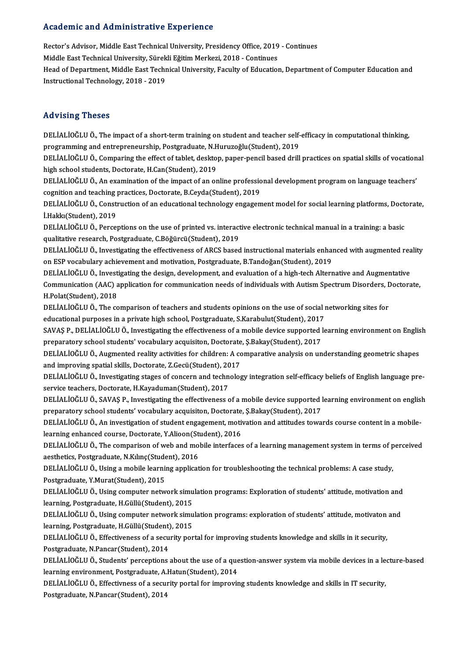### Academic and Administrative Experience

Academic and Administrative Experience<br>Rector's Advisor, Middle East Technical University, Presidency Office, 2019 - Continues<br>Middle Fest Technical University, Süreltli Făitim Merkezi, 2018 - Continues Middle East Technical University, Presidency Office, 2019<br>Middle East Technical University, Sürekli Eğitim Merkezi, 2018 - Continues<br>Head of Department, Middle East Technical University, Easylty of Education Middle East Technical University, Sürekli Eğitim Merkezi, 2018 - Continues<br>Head of Department, Middle East Technical University, Faculty of Education, Department of Computer Education and Instructional Technology, 2018 - 2019

#### Advising Theses

Advising Theses<br>DELİALİOĞLU Ö., The impact of a short-term training on student and teacher self-efficacy in computational thinking,<br>PROTERMINE and artroprepausebin, Posteredusta N Huruzoğlu (Student), 2010. rra vierng i rreses<br>DELİALİOĞLU Ö., The impact of a short-term training on student and teacher self-<br>programming and entrepreneurship, Postgraduate, N.Huruzoğlu(Student), 2019<br>DELİALİOĞLU Ö. Companing the effect of tablet, programming and entrepreneurship, Postgraduate, N.Huruzoğlu(Student), 2019

DELİALİOĞLU Ö., Comparing the effect of tablet, desktop, paper-pencil based drill practices on spatial skills of vocational<br>high school students, Doctorate, H.Can(Student), 2019 DELİALİOĞLU Ö., Comparing the effect of tablet, desktop, paper-pencil based drill practices on spatial skills of vocation<br>high school students, Doctorate, H.Can(Student), 2019<br>DELİALİOĞLU Ö., An examination of the impact o

high school students, Doctorate, H.Can(Student), 2019<br>DELİALİOĞLU Ö., An examination of the impact of an online professio<br>cognition and teaching practices, Doctorate, B.Ceyda(Student), 2019<br>DELİALİOĞLU Ö. Construction of a DELİALİOĞLU Ö., An examination of the impact of an online professional development program on language teachers'<br>cognition and teaching practices, Doctorate, B.Ceyda(Student), 2019<br>DELİALİOĞLU Ö., Construction of an educat

cognition and teaching practices, Doctorate, B.Ceyda(Student), 2019<br>DELİALİOĞLU Ö., Construction of an educational technology engagement model for social learning platforms, Doctorate,<br>İ.Hakkı(Student), 2019 DELİALİOĞLU Ö., Construction of an educational technology engagement model for social learning platforms, Doct<br>İ.Hakkı(Student), 2019<br>DELİALİOĞLU Ö., Perceptions on the use of printed vs. interactive electronic technical m

İ.Hakkı(Student), 2019<br>DELİALİOĞLU Ö., Perceptions on the use of printed vs. interact<br>qualitative research, Postgraduate, C.Böğürcü(Student), 2019<br>DELİALİOĞLU Ö. Investisating the effectivenese of ABCS besed DELİALİOĞLU Ö., Perceptions on the use of printed vs. interactive electronic technical manual in a training: a basic<br>qualitative research, Postgraduate, C.Böğürcü(Student), 2019<br>DELİALİOĞLU Ö., Investigating the effectiven

qualitative research, Postgraduate, C.Böğürcü(Student), 2019<br>DELİALİOĞLU Ö., Investigating the effectiveness of ARCS based instructional materials enhanced with augmented rea<br>on ESP vocabulary achievement and motivation, P DELİALİOĞLUÖ., Investigating the effectiveness of ARCS based instructional materials enhanced with augmented reality

on ESP vocabulary achievement and motivation, Postgraduate, B.Tandoğan(Student), 2019<br>DELİALİOĞLU Ö., Investigating the design, development, and evaluation of a high-tech Alternative and Augmentative<br>Communication (AAC) ap H.Polat(Student),2018 Communication (AAC) application for communication needs of individuals with Autism Spectrum Disorders, <mark>L</mark><br>H.Polat(Student), 2018<br>DELİALİOĞLU Ö., The comparison of teachers and students opinions on the use of social networ

DELIALIOĞLU Ö., The comparison of teachers and students opinions on the use of social networking sites for<br>educational purposes in a private high school, Postgraduate, S.Karabulut(Student), 2017 DELİALİOĞLU Ö., The comparison of teachers and students opinions on the use of social networking sites for<br>educational purposes in a private high school, Postgraduate, S.Karabulut(Student), 2017<br>SAVAŞ P., DELİALİOĞLU Ö., I

educational purposes in a private high school, Postgraduate, S.Karabulut(Student), 2017<br>SAVAŞ P., DELİALİOĞLU Ö., Investigating the effectiveness of a mobile device supported l<br>preparatory school students' vocabulary acqui SAVAŞ P., DELİALİOĞLU Ö., Investigating the effectiveness of a mobile device supported learning environment on Englis<br>preparatory school students' vocabulary acquisiton, Doctorate, Ş.Bakay(Student), 2017<br>DELİALİOĞLU Ö., Au preparatory school students' vocabulary acquisiton, Doctorate, Ş.Bakay(Student), 2017<br>DELİALİOĞLU Ö., Augmented reality activities for children: A comparative analysis on understanding geometric shapes

and improving spatial skills, Doctorate, Z.Gecü(Student), 2017

DELİALİOĞLU Ö., Investigating stages of concern and technology integration self-efficacy beliefs of English language pre-<br>service teachers, Doctorate, H.Kayaduman(Student), 2017 DELİALİOĞLU Ö., Investigating stages of concern and technology integration self-efficacy beliefs of English language pre-<br>service teachers, Doctorate, H.Kayaduman(Student), 2017<br>DELİALİOĞLU Ö., SAVAŞ P., Investigating the

service teachers, Doctorate, H.Kayaduman(Student), 2017<br>DELİALİOĞLU Ö., SAVAŞ P., Investigating the effectiveness of a mobile device supported l<br>preparatory school students' vocabulary acquisiton, Doctorate, Ş.Bakay(Studen DELİALİOĞLU Ö., SAVAŞ P., Investigating the effectiveness of a mobile device supported learning environment on englis<br>preparatory school students' vocabulary acquisiton, Doctorate, Ş.Bakay(Student), 2017<br>DELİALİOĞLU Ö., An

preparatory school students' vocabulary acquisiton, Doctorate, Ş.Bakay(Student), 2017<br>DELİALİOĞLU Ö., An investigation of student engagement, motivation and attitudes towards course content in a mobile-<br>learning enhanced c DELİALİOĞLU Ö., An investigation of student engagement, motivation and attitudes towards course content in a mobile-<br>learning enhanced course, Doctorate, Y.Alioon(Student), 2016<br>DELİALİOĞLU Ö., The comparison of web and mo

learning enhanced course, Doctorate, Y.Alioon(St<br>DELİALİOĞLU Ö., The comparison of web and mo<br>aesthetics, Postgraduate, N.Kılınç(Student), 2016<br>DELİALİOĞLU Ö. Hains a mabile learning enpliest DELİALİOĞLU Ö., The comparison of web and mobile interfaces of a learning management system in terms of p<br>aesthetics, Postgraduate, N.Kılınç(Student), 2016<br>DELİALİOĞLU Ö., Using a mobile learning application for troublesho

aesthetics, Postgraduate, N.Kılınç(Student), 2016<br>DELİALİOĞLU Ö., Using a mobile learning application for troubleshooting the technical problems: A case study,<br>Postgraduate, Y.Murat(Student), 2015

DELİALİOĞLUÖ., Using computer network simulation programs: Exploration of students' attitude, motivation and learning, Postgraduate, H.Güllü(Student), 2015 DELİALİOĞLU Ö., Using computer network simulation programs: Exploration of students' attitude, motivation and<br>learning, Postgraduate, H.Güllü(Student), 2015<br>DELİALİOĞLU Ö., Using computer network simulation programs: explo

learning, Postgraduate, H.Güllü(Student), 2015<br>DELİALİOĞLU Ö., Using computer network simu<br>learning, Postgraduate, H.Güllü(Student), 2015<br>DELİALİOĞLU Ö. Effectivanese of a segurity por DELİALİOĞLU Ö., Using computer network simulation programs: exploration of students' attitude, motivaton<br>learning, Postgraduate, H.Güllü(Student), 2015<br>DELİALİOĞLU Ö., Effectiveness of a security portal for improving stude

learning, Postgraduate, H.Güllü(Student), 2015<br>DELİALİOĞLU Ö., Effectiveness of a security portal for improving students knowledge and skills in it security,<br>Postgraduate, N.Pancar(Student), 2014

DELİALİOĞLU Ö., Effectiveness of a security portal for improving students knowledge and skills in it security,<br>Postgraduate, N.Pancar(Student), 2014<br>DELİALİOĞLU Ö., Students' perceptions about the use of a question-answer Postgraduate, N.Pancar(Student), 2014<br>DELİALİOĞLU Ö., Students' perceptions about the use of a que<br>learning environment, Postgraduate, A.Hatun(Student), 2014<br>DELİALİOĞLU Ö., Effectivness of a sequrity portal for improvi: DELİALİOĞLU Ö., Students' perceptions about the use of a question-answer system via mobile devices in a le<br>learning environment, Postgraduate, A.Hatun(Student), 2014<br>DELİALİOĞLU Ö., Effectivness of a security portal for im

learning environment, Postgraduate, A.Hatun(Student), 2014<br>DELİALİOĞLU Ö., Effectivness of a security portal for improving students knowledge and skills in IT security,<br>Postgraduate, N.Pancar(Student), 2014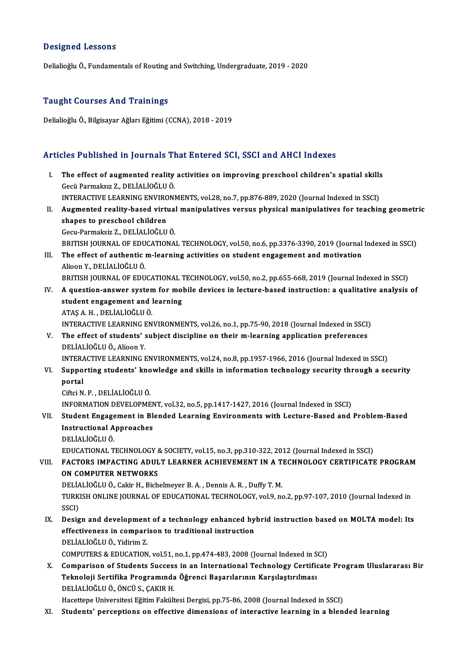#### Designed Lessons

Delialioğlu Ö., Fundamentals of Routing and Switching, Undergraduate, 2019 - 2020

#### Taught Courses And Trainings

DelialioğluÖ.,BilgisayarAğlarıEğitimi (CCNA),2018 -2019

### Articles Published in Journals That Entered SCI, SSCI and AHCI Indexes

rticles Published in Journals That Entered SCI, SSCI and AHCI Indexes<br>I. The effect of augmented reality activities on improving preschool children's spatial skills<br>Cosii Barmakar 7, DELİALİQĞLUÖ SEE F ABRISHEA III JOAFHARD FI<br>The effect of augmented reality<br>Gecü Parmaksız Z., DELİALİOĞLU Ö. The effect of augmented reality activities on improving preschool children's spatial skills<br>Gecü Parmaksız Z., DELİALİOĞLU Ö.<br>INTERACTIVE LEARNING ENVIRONMENTS, vol.28, no.7, pp.876-889, 2020 (Journal Indexed in SSCI)<br>Augm Gecü Parmaksız Z., DELİALİOĞLU Ö.<br>INTERACTIVE LEARNING ENVIRONMENTS, vol.28, no.7, pp.876-889, 2020 (Journal Indexed in SSCI)<br>II. Augmented reality-based virtual manipulatives versus physical manipulatives for teaching INTERACTIVE LEARNING ENVIRONMENTS, vol.28, no.7, pp.876-889, 2020 (Journal Indexed in SSCI)<br>Augmented reality-based virtual manipulatives versus physical manipulatives for teachin<br>shapes to preschool children<br>Gecu-Parmaksi Augmented reality-based virtual<br>shapes to preschool children<br>Gecu-Parmaksiz Z., DELİALİOĞLU Ö.<br>PRITISH IOURNAL OF EDUCATIONA BRITISH JOURNAL OF EDUCATIONAL TECHNOLOGY, vol.50, no.6, pp.3376-3390, 2019 (Journal Indexed in SSCI) Gecu-Parmaksiz Z., DELİALİOĞLU Ö.<br>BRITISH JOURNAL OF EDUCATIONAL TECHNOLOGY, vol.50, no.6, pp.3376-3390, 2019 (Journal<br>III. The effect of authentic m-learning activities on student engagement and motivation BRITISH JOURNAL OF EDU<br>The effect of authentic<br>Alioon Y., DELİALİOĞLU Ö.<br>PRITISH JOURNAL OF EDU The effect of authentic m-learning activities on student engagement and motivation<br>Alioon Y., DELİALİOĞLU Ö.<br>BRITISH JOURNAL OF EDUCATIONAL TECHNOLOGY, vol.50, no.2, pp.655-668, 2019 (Journal Indexed in SSCI)<br>A question an Alioon Y., DELİALİOĞLU Ö.<br>BRITISH JOURNAL OF EDUCATIONAL TECHNOLOGY, vol.50, no.2, pp.655-668, 2019 (Journal Indexed in SSCI)<br>IV. A question-answer system for mobile devices in lecture-based instruction: a qualitative BRITISH JOURNAL OF EDUCATIONAL 7<br>A question-answer system for mol<br>student engagement and learning<br>ATAS A H - DELIALIOČLUÖ IV. A question-answer system for mobile devices in lecture-based instruction: a qualitative analysis of student engagement and learning<br>ATAŞ A.H., DELİALİOĞLUÖ. student engagement and learning<br>ATAŞ A. H. , DELİALİOĞLU Ö.<br>INTERACTIVE LEARNING ENVIRONMENTS, vol.26, no.1, pp.75-90, 2018 (Journal Indexed in SSCI)<br>The effect of students' subject dissinline en their m-learning annligati ATAŞ A. H. , DELİALİOĞLU Ö.<br>INTERACTIVE LEARNING ENVIRONMENTS, vol.26, no.1, pp.75-90, 2018 (Journal Indexed in SSCI)<br>V. The effect of students' subject discipline on their m-learning application preferences<br>DELİALİOĞL INTERACTIVE LEARNING I<br>The effect of students' s<br>DELİALİOĞLU Ö., Alioon Y.<br>INTERACTIVE I EARNING I The effect of students' subject discipline on their m-learning application preferences<br>DELİALİOĞLU Ö., Alioon Y.<br>INTERACTIVE LEARNING ENVIRONMENTS, vol.24, no.8, pp.1957-1966, 2016 (Journal Indexed in SSCI)<br>Sunnesting stud DELİALİOĞLU Ö., Alioon Y.<br>INTERACTIVE LEARNING ENVIRONMENTS, vol.24, no.8, pp.1957-1966, 2016 (Journal Indexed in SSCI)<br>VI. Supporting students' knowledge and skills in information technology security through a securit INTERACTIVE LEARNING ENVIRONMENTS, vol.24, no.8, pp.1957-1966, 2016 (Journal Indexed in SSCI)<br>Supporting students' knowledge and skills in information technology security through a se<br>portal<br>Ciftci N. P., DELIALIOĞLU Ö. Supporting students' kno<br>portal<br>Ciftci N. P. , DELİALİOĞLU Ö.<br>INEOPMATION DEVELOPME INFORMATION DEVELOPMENT, vol.32, no.5, pp.1417-1427, 2016 (Journal Indexed in SSCI) Ciftci N. P. , DELİALİOĞLU Ö.<br>INFORMATION DEVELOPMENT, vol.32, no.5, pp.1417-1427, 2016 (Journal Indexed in SSCI)<br>VII. Student Engagement in Blended Learning Environments with Lecture-Based and Problem-Based<br>Instructio INFORMATION DEVELOPMEN<br>Student Engagement in Bl<br>Instructional Approaches<br>DELIALIOČLUÖ Student Engage<br>Instructional A<br>DELİALİOĞLUÖ.<br>EDUCATIONAL T Instructional Approaches<br>DELİALİOĞLU Ö.<br>EDUCATIONAL TECHNOLOGY & SOCIETY, vol.15, no.3, pp.310-322, 2012 (Journal Indexed in SSCI)<br>EACTORS IMPACTING ADIU TI EARNER ACHIEVEMENT IN A TECHNOLOGY CERTIFICATI DELIALIOĞLU Ö.<br>EDUCATIONAL TECHNOLOGY & SOCIETY, vol.15, no.3, pp.310-322, 2012 (Journal Indexed in SSCI)<br>VIII. FACTORS IMPACTING ADULT LEARNER ACHIEVEMENT IN A TECHNOLOGY CERTIFICATE PROGRAM<br>ON COMPUTER NETWORKS EDUCATIONAL TECHNOLOGY &<br>FACTORS IMPACTING ADUL<br>ON COMPUTER NETWORKS<br>DELÍALIOČLILÖ, Colin H. Bish FACTORS IMPACTING ADULT LEARNER ACHIEVEMENT IN A T.<br>ON COMPUTER NETWORKS<br>DELIALIOĞLU Ö., Cakir H., Bichelmeyer B.A. , Dennis A.R. , Duffy T.M.<br>TURKISH ONLINE JOURNAL OF EDUCATIONAL TEGHNOLOGY vol 9. re TURKISH ONLINE JOURNAL OF EDUCATIONAL TECHNOLOGY, vol.9, no.2, pp.97-107, 2010 (Journal Indexed in SSCI) DELIA<br>TURKI<br>SSCI)<br>Desig TURKISH ONLINE JOURNAL OF EDUCATIONAL TECHNOLOGY, vol.9, no.2, pp.97-107, 2010 (Journal Indexed in<br>SSCI)<br>IX. Design and development of a technology enhanced hybrid instruction based on MOLTA model: Its<br>offectiveness in com SSCI)<br>Design and development of a technology enhanced hy<br>effectiveness in comparison to traditional instruction<br>DELİALİQČLUÖ Yidirim 7 Design and development<br>effectiveness in compari<br>DELİALİOĞLU Ö., Yidirim Z.<br>COMPUTERS & EDUCATION effectiveness in comparison to traditional instruction<br>DELİALİOĞLU Ö., Yidirim Z.<br>COMPUTERS & EDUCATION, vol.51, no.1, pp.474-483, 2008 (Journal Indexed in SCI)<br>Comparison of Students Sussess in an International Technology DELİALİOĞLU Ö., Yidirim Z.<br>COMPUTERS & EDUCATION, vol.51, no.1, pp.474-483, 2008 (Journal Indexed in SCI)<br>X. Comparison of Students Success in an International Technology Certificate Program Uluslararası Bir<br>Teknoloji COMPUTERS & EDUCATION, vol.51, no.1, pp.474-483, 2008 (Journal Indexed in S<br>Comparison of Students Success in an International Technology Certific<br>Teknoloji Sertifika Programında Öğrenci Başarılarının Karşılaştırılması<br>DEL DELİALİOĞLU Ö., ÖNCÜ S., ÇAKIR H.

Hacettepe Universitesi Eğitim Fakültesi Dergisi, pp.75-86, 2008 (Journal Indexed in SSCI)

XI. Students' perceptions on effective dimensions of interactive learning in a blended learning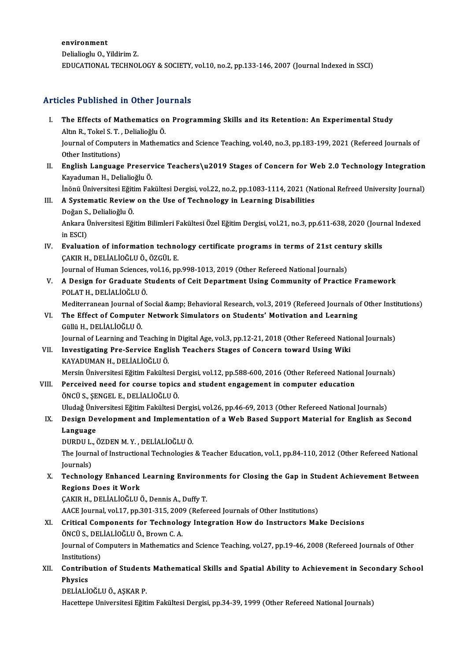environment Delialioglu O., Yildirim Z. EDUCATIONAL TECHNOLOGY&SOCIETY,vol.10,no.2,pp.133-146,2007 (Journal Indexed inSSCI)

### Articles Published in Other Journals

- rticles Published in Other Journals<br>I. The Effects of Mathematics on Programming Skills and its Retention: An Experimental Study<br>Altre P. Tekel S. T. Deliglieğly Ö The Effects of Mathematics of<br>Altın R., Tokel S. T. , Delialioğlu Ö.<br>Journal of Computers in Mathem The Effects of Mathematics on Programming Skills and its Retention: An Experimental Study<br>Altın R., Tokel S. T. , Delialioğlu Ö.<br>Journal of Computers in Mathematics and Science Teaching, vol.40, no.3, pp.183-199, 2021 (Ref Altın R., Tokel S. T. , Delialioğlu Ö.<br>Journal of Computers in Mathematics and Science Teaching, vol.40, no.3, pp.183-199, 2021 (Refereed Journals of<br>Other Institutions) Journal of Computers in Mathematics and Science Teaching, vol.40, no.3, pp.183-199, 2021 (Refereed Journals of<br>Other Institutions)<br>II. English Language Preservice Teachers\u2019 Stages of Concern for Web 2.0 Technology Int
- Other Institutions)<br><mark>English Language Preserv</mark><br>Kayaduman H., Delialioğlu Ö.<br>İnönü Üniversitesi Fğitim Fel English Language Preservice Teachers\u2019 Stages of Concern for Web 2.0 Technology Integration<br>Kayaduman H., Delialioğlu Ö.<br>İnönü Üniversitesi Eğitim Fakültesi Dergisi, vol.22, no.2, pp.1083-1114, 2021 (National Refreed U

İnönü Üniversitesi Eğitim Fakültesi Dergisi, vol.22, no.2, pp.1083-1114, 2021 (National Refreed University Journal)

### Kayaduman H., Delialioğlu Ö.<br>İnönü Üniversitesi Eğitim Fakültesi Dergisi, vol.22, no.2, pp.1083-1114, 2021 (Na<br>III. A Systematic Review on the Use of Technology in Learning Disabilities<br>Doğan S., Delialioğlu Ö. A Systematic Review on the Use of Technology in Learning Disabilities<br>Doğan S., Delialioğlu Ö.<br>Ankara Üniversitesi Eğitim Bilimleri Fakültesi Özel Eğitim Dergisi, vol.21, no.3, pp.611-638, 2020 (Journal Indexed<br>in ESCD. Doğan S.<br>Ankara İ<br>in ESCI)<br>Evaluat

Ankara Üniversitesi Eğitim Bilimleri Fakültesi Özel Eğitim Dergisi, vol.21, no.3, pp.611-638, 2020 (Jour<br>in ESCI)<br>IV. Evaluation of information technology certificate programs in terms of 21st century skills<br>CAKIR H. DELLA in ESCI)<br><mark>Evaluation of information techno</mark><br>ÇAKIR H., DELİALİOĞLU Ö., ÖZGÜL E.<br>Journal of Human Ssianses, vel 16. nr Evaluation of information technology certificate programs in terms of 21st cent<br>ÇAKIR H., DELİALİOĞLU Ö., ÖZGÜL E.<br>Journal of Human Sciences, vol.16, pp.998-1013, 2019 (Other Refereed National Journals)<br>A Design for Cradua

Journal of Human Sciences, vol.16, pp.998-1013, 2019 (Other Refereed National Journals)

CAKIR H., DELİALİOĞLU Ö., ÖZGÜL E.<br>Journal of Human Sciences, vol.16, pp.998-1013, 2019 (Other Refereed National Journals)<br>V. A Design for Graduate Students of Ceit Department Using Community of Practice Framework<br>POLA A Design for Graduate Students of Ceit Department Using Community of Practice Framework<br>POLAT H., DELİALİOĞLU Ö.<br>Mediterranean Journal of Social &amp; Behavioral Research, vol.3, 2019 (Refereed Journals of Other Institutio

POLAT H., DELİALİOĞLU Ö.<br>Mediterranean Journal of Social &amp; Behavioral Research, vol.3, 2019 (Refereed Journals on Students' Motivation and Learning<br>VI. The Effect of Computer Network Simulators on Students' Motivation Mediterranean Journal of<br>The Effect of Computer<br>Güllü H., DELİALİOĞLU Ö.<br>Journal of Leerning and T The Effect of Computer Network Simulators on Students' Motivation and Learning<br>Güllü H., DELİALİOĞLU Ö.<br>Journal of Learning and Teaching in Digital Age, vol.3, pp.12-21, 2018 (Other Refereed National Journals)<br>Investigatin

Güllü H., DELİALİOĞLU Ö.<br>Journal of Learning and Teaching in Digital Age, vol.3, pp.12-21, 2018 (Other Refereed National Using Wiki<br>VII. Investigating Pre-Service English Teachers Stages of Concern toward Using Wiki Journal of Learning and Teaching<br>Investigating Pre-Service Engl<br>KAYADUMAN H., DELİALİOĞLU Ö.<br>Morsin Üniversitesi Eğitim Felsülte Investigating Pre-Service English Teachers Stages of Concern toward Using Wiki<br>KAYADUMAN H., DELİALİOĞLU Ö.<br>Mersin Üniversitesi Eğitim Fakültesi Dergisi, vol.12, pp.588-600, 2016 (Other Refereed National Journals)<br>Perseive

KAYADUMAN H., DELİALİOĞLU Ö.<br>Mersin Üniversitesi Eğitim Fakültesi Dergisi, vol.12, pp.588-600, 2016 (Other Refereed Nation<br>VIII. Perceived need for course topics and student engagement in computer education<br>ÖNCÜ S. SENCEL VIII. Perceived need for course topics and student engagement in computer education<br>ÖNCÜ S., ŞENGEL E., DELİALİOĞLU Ö.

Uludağ Üniversitesi Eğitim Fakültesi Dergisi, vol.26, pp.46-69, 2013 (Other Refereed National Journals)

### ÖNCÜ S., ŞENGEL E., DELİALİOĞLU Ö.<br>Uludağ Üniversitesi Eğitim Fakültesi Dergisi, vol.26, pp.46-69, 2013 (Other Refereed National Journals)<br>IX. Design Development and Implementation of a Web Based Support Material for E Uludağ Üniv<br><mark>Design De</mark><br>Language<br>DURDU L Design Development and Implementa<br>Language<br>DURDU L., ÖZDEN M.Y. , DELİALİOĞLU Ö.<br>The Journal of Instructional Technologies

DURDU L., ÖZDEN M.Y., DELİALİOĞLU Ö.

Language<br>DURDU L., ÖZDEN M. Y. , DELİALİOĞLU Ö.<br>The Journal of Instructional Technologies & Teacher Education, vol.1, pp.84-110, 2012 (Other Refereed National<br>Journals) The Journal of Instructional Technologies & Teacher Education, vol.1, pp.84-110, 2012 (Other Refereed National<br>Journals)<br>X. Technology Enhanced Learning Environments for Closing the Gap in Student Achievement Between<br>Regio

### Journals)<br>Technology Enhanced<br>Regions Does it Work<br>CAKIB H. DELÍALÍOČLILÍ Technology Enhanced Learning Environn<br>Regions Does it Work<br>ÇAKIR H., DELİALİOĞLU Ö., Dennis A., Duffy T.<br>AACE Jaurnal val 17. np.201.215.2009 (Refer Regions Does it Work<br>ÇAKIR H., DELİALİOĞLU Ö., Dennis A., Duffy T.<br>AACE Journal, vol.17, pp.301-315, 2009 (Refereed Journals of Other Institutions)<br>Critical Components for Technology Integration How de Instructors Ma

## CAKIR H., DELIALIOĞLU Ö., Dennis A., Duffy T.<br>AACE Journal, vol.17, pp.301-315, 2009 (Refereed Journals of Other Institutions)<br>XI. Critical Components for Technology Integration How do Instructors Make Decisions<br>ÖNCÜ S., D AACE Journal, vol.17, pp.301-315, 200<br>Critical Components for Technolo<br>ÖNCÜ S., DELİALİOĞLU Ö., Brown C. A.<br>Journal of Computers in Mathematics s

Critical Components for Technology Integration How do Instructors Make Decisions<br>ÖNCÜ S., DELİALİOĞLU Ö., Brown C. A.<br>Journal of Computers in Mathematics and Science Teaching, vol.27, pp.19-46, 2008 (Refereed Journals of O ÖNCÜ S., DEL<br>Journal of Co<br>Institutions)<br>Contributio Journal of Computers in Mathematics and Science Teaching, vol.27, pp.19-46, 2008 (Refereed Journals of Other<br>Institutions)<br>XII. Contribution of Students Mathematical Skills and Spatial Ability to Achievement in Secondary S

# Institutio<br>Contribi<br>Physics<br>DELİALİ Contribution of Student<br>Physics<br>DELİALİOĞLU Ö., AŞKAR P.<br>Hasettana Universitesi Eğiti

Physics<br>DELİALİOĞLU Ö., AŞKAR P.<br>Hacettepe Universitesi Eğitim Fakültesi Dergisi, pp.34-39, 1999 (Other Refereed National Journals)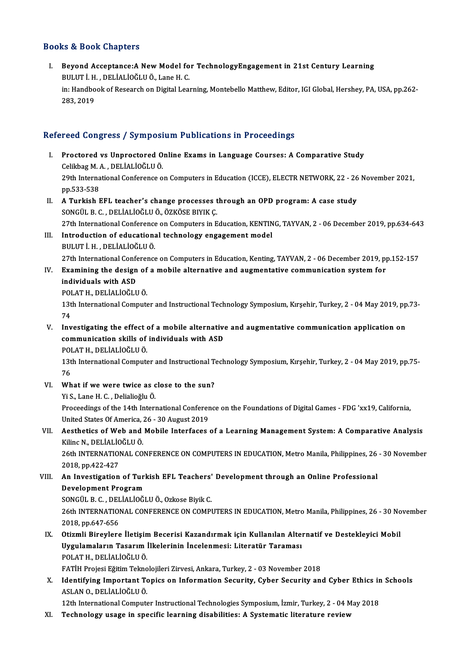### Books&Book Chapters

ooks & Book Chapters<br>I. Beyond Acceptance:A New Model for TechnologyEngagement in 21st Century Learning<br>PULUT LH, DELIALIOČLU Ö, Lane H.C 19 & Doon Ghapters<br>Beyond Acceptance:A New Model fo<br>BULUT İ. H. , DELİALİOĞLU Ö., Lane H. C.<br>in: Handbaak of Bessarsb en Disital Lea Beyond Acceptance:A New Model for TechnologyEngagement in 21st Century Learning<br>BULUT İ. H. , DELİALİOĞLU Ö., Lane H. C.<br>in: Handbook of Research on Digital Learning, Montebello Matthew, Editor, IGI Global, Hershey, PA, US BULUT İ. H<br>in: Handbo<br>283, 2019

# 283, 2019<br>Refereed Congress / Symposium Publications in Proceedings

- efereed Congress / Symposium Publications in Proceedings<br>I. Proctored vs Unproctored Online Exams in Language Courses: A Comparative Study<br>Colikbes M.A. DELIALIOČLU Ö Proctored vs Unproctored O<br>Celikbag M.A., DELİALİOĞLU Ö.<br>20th International Cenference o 29th International Conference on Computers in Education (ICCE), ELECTR NETWORK, 22 - 26 November 2021, pp.533-538 Celikbag M. A., DELİALİOĞLU Ö. 29th International Conference on Computers in Education (ICCE), ELECTR NETWORK, 22 - 26<br>pp.533-538<br>II. A Turkish EFL teacher's change processes through an OPD program: A case study<br>SONCULE C. DELIALIOČIJI Ö ÖZKÖSE PIVIK C
- pp.533-538<br>A Turkish EFL teacher's change processes t<br>SONGÜL B. C. , DELİALİOĞLU Ö., ÖZKÖSE BIYIK Ç.<br>27th International Conference en Computers in E SONGÜL B. C. , DELİALİOĞLU Ö., ÖZKÖSE BIYIK Ç.<br>27th International Conference on Computers in Education, KENTING, TAYVAN, 2 - 06 December 2019, pp.634-643 SONGÜL B. C. , DELİALİOĞLU Ö., ÖZKÖSE BIYIK Ç.<br>27th International Conference on Computers in Education, KENTIN<br>III. Introduction of educational technology engagement model<br>PIILITI H. DELİALİOĞLU Ö.
- 27th International Conference<br>Introduction of educationa<br>BULUT İ. H. , DELİALİOĞLU Ö.<br>27th International Conference 27th InternationalConference onComputers inEducation,Kenting,TAYVAN,2 -06December 2019,pp.152-157 BULUT İ. H. , DELİALİOĞLU Ö.<br>27th International Conference on Computers in Education, Kenting, TAYVAN, 2 - 06 December 2019, p<sub>l</sub><br>IV. Examining the design of a mobile alternative and augmentative communication system for<br>i
- 27th International Confe<br>Examining the design<br>individuals with ASD<br>POLATH DELIALIOČLU Examining the design of<br>individuals with ASD<br>POLAT H., DELİALİOĞLUÖ.<br>12th International Compute

individuals with ASD<br>POLAT H., DELİALİOĞLU Ö.<br>13th International Computer and Instructional Technology Symposium, Kırşehir, Turkey, 2 - 04 May 2019, pp.73-<br>74 POI<br>13t<br>74<br>In:1 13th International Computer and Instructional Technology Symposium, Kırşehir, Turkey, 2 - 04 May 2019, pp<br>74<br>V. Investigating the effect of a mobile alternative and augmentative communication application on<br>8. Communicatio

74<br>Investigating the effect of a mobile alternative<br>communication skills of individuals with ASD<br>POLATH, DELİALİQČLUÖ Investigating the effect<br>communication skills of<br>POLAT H., DELİALİOĞLUÖ.<br>12th International Compute communication skills of individuals with ASD<br>POLAT H., DELİALİOĞLU Ö.<br>13th International Computer and Instructional Technology Symposium, Kırşehir, Turkey, 2 - 04 May 2019, pp.75-<br>76 131<br>131<br>76<br>147

VI. What if we were twice as close to the sun?

YiS.,LaneH.C. ,DelialioğluÖ. What if we were twice as close to the sun?<br>Yi S., Lane H. C. , Delialioğlu Ö.<br>Proceedings of the 14th International Conference on the Foundations of Digital Games - FDG 'xx19, California, Yi S., Lane H. C. , Delialioğlu Ö.<br>Proceedings of the 14th International Conferer<br>United States Of America, 26 - 30 August 2019<br>Acathetics of Web and Mobile Interfeces Proceedings of the 14th International Conference on the Foundations of Digital Games - FDG 'xx19, California,<br>United States Of America, 26 - 30 August 2019<br>VII. Aesthetics of Web and Mobile Interfaces of a Learning Managem

United States Of America, <br>Aesthetics of Web and<br>Kilinc N., DELİALİOĞLU Ö.<br>26th INTERNATIONAL CO Aesthetics of Web and Mobile Interfaces of a Learning Management System: A Comparative Analysis<br>Kilinc N., DELİALİOĞLU Ö.<br>26th INTERNATIONAL CONFERENCE ON COMPUTERS IN EDUCATION, Metro Manila, Philippines, 26 - 30 November Kilinc N., DELİALİOĞLU Ö.<br>26th INTERNATIONAL CONFERENCE ON COMPUTERS IN EDUCATION, Metro Manila, Philippines, 26 - 30 November<br>2018, pp.422-427

26th INTERNATIONAL CONFERENCE ON COMPUTERS IN EDUCATION, Metro Manila, Philippines, 26<br>2018, pp.422-427<br>VIII. An Investigation of Turkish EFL Teachers' Development through an Online Professional<br>Development Program 2018, pp.422-427<br>An Investigation of Turi<br>Development Program<br>SONGÜL B.C., DELİALİOČI

Development Program<br>SONGÜL B. C. , DELİALİOĞLU Ö., Ozkose Biyik C.

Development Program<br>SONGÜL B. C. , DELİALİOĞLU Ö., Ozkose Biyik C.<br>26th INTERNATIONAL CONFERENCE ON COMPUTERS IN EDUCATION, Metro Manila, Philippines, 26 - 30 November<br>2018. pp.647.656 2018, SONGÜL B. C. , DEL<br>26th INTERNATION<br>2018, pp.647-656<br>Otizmli Bizovlara 26th INTERNATIONAL CONFERENCE ON COMPUTERS IN EDUCATION, Metro Manila, Philippines, 26 - 30 No<br>2018, pp.647-656<br>IX. Otizmli Bireylere İletişim Becerisi Kazandırmak için Kullanılan Alternatif ve Destekleyici Mobil<br>Ilyanlama

2018, pp.647-656<br>Otizmli Bireylere İletişim Becerisi Kazandırmak için Kullanılan Alten<br>Uygulamaların Tasarım İlkelerinin İncelenmesi: Literatür Taraması<br>POLATH, DELİALİQĞLUÖ Otizmli Bireylere İletişin<br>Uygulamaların Tasarım İ<br>POLAT H., DELİALİOĞLU Ö.<br>EATİH Projesi Fğitim Telme Uygulamaların Tasarım İlkelerinin İncelenmesi: Literatür Taraması<br>POLAT H., DELİALİOĞLU Ö.<br>FATİH Projesi Eğitim Teknolojileri Zirvesi, Ankara, Turkey, 2 - 03 November 2018<br>Identifying Impertant Teniss en Information Seguri POLAT H., DELİALİOĞLU Ö.<br>FATİH Projesi Eğitim Teknolojileri Zirvesi, Ankara, Turkey, 2 - 03 November 2018<br>X. Identifying Important Topics on Information Security, Cyber Security and Cyber Ethics in Schools<br>ASLAN O. DEL

FATİH Projesi Eğitim Tekno<br>Identifying Important To<br>ASLAN O., DELİALİOĞLU Ö.<br>12th International Compute Identifying Important Topics on Information Security, Cyber Security and Cyber Ethics in<br>ASLAN 0., DELİALİOĞLU Ö.<br>12th International Computer Instructional Technologies Symposium, İzmir, Turkey, 2 - 04 May 2018<br>Technology ASLAN O., DELİALİOĞLU Ö.<br>12th International Computer Instructional Technologies Symposium, İzmir, Turkey, 2 - 04 May 2018<br>XI. Technology usage in specific learning disabilities: A Systematic literature review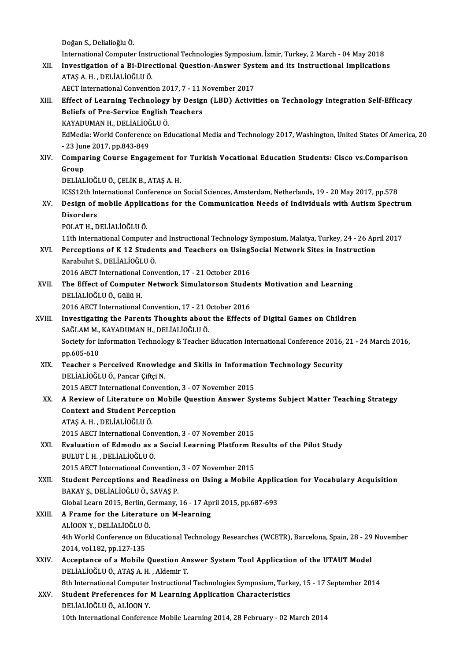DoğanS.,DelialioğluÖ.

InternationalComputer InstructionalTechnologies Symposium, İzmir,Turkey,2March -04May2018

Doğan S., Delialioğlu Ö.<br>International Computer Instructional Technologies Symposium, İzmir, Turkey, 2 March - 04 May 2018<br>XII. Investigation of a Bi-Directional Question-Answer System and its Instructional Implication International Computer Instr<br>Investigation of a Bi-Dire<br>ATAŞ A. H. , DELİALİOĞLU Ö.<br>AECT International Conventi Investigation of a Bi-Directional Question-Answer Syst<br>ATAŞ A. H. , DELİALİOĞLU Ö.<br>AECT International Convention 2017, 7 - 11 November 2017<br>Effect of Learning Technology by Docian (LBD) Activit

ATAŞ A. H. , DELİALİOĞLU Ö.<br>AECT International Convention 2017, 7 - 11 November 2017<br>XIII. Effect of Learning Technology by Design (LBD) Activities on Technology Integration Self-Efficacy<br>Peliafs of Pre Servise English AECT International Convention 2017, 7 - 11 November 2017<br>Effect of Learning Technology by Design (LBD) Activi<br>Beliefs of Pre-Service English Teachers<br>KAYADUMAN H., DELIALIOGLU Ö. Effect of Learning Technology<br>Beliefs of Pre-Service English<br>KAYADUMAN H., DELİALİOĞLU Ö.<br>EdMedia: Werld Conference on Eq EdMedia: World Conference on Educational Media and Technology 2017, Washington, United States Of America, 20 KAYADUMAN H., DELİALİOĞ<br>EdMedia: World Conference<br>- 23 June 2017, pp.843-849<br>Comparing Course Engag EdMedia: World Conference on Educational Media and Technology 2017, Washington, United States Of Americ<br>23 June 2017, pp.843-849<br>XIV. Comparing Course Engagement for Turkish Vocational Education Students: Cisco vs.Comparis

### - 23 Jun<br><mark>Compa</mark><br>Group<br>DELİAL Comparing Course Engagement fo<br>Group<br>DELİALİOĞLU Ö., ÇELİK B., ATAŞ A. H.<br>ICSS12th International Conference on Group<br>DELİALİOĞLU Ö., ÇELİK B., ATAŞ A. H.<br>ICSS12th International Conference on Social Sciences, Amsterdam, Netherlands, 19 - 20 May 2017, pp.578<br>Design of mebile Annligations for the Communication Needs of Individuals wit

DELİALİOĞLU Ö., ÇELİK B., ATAŞ A. H.<br>ICSS12th International Conference on Social Sciences, Amsterdam, Netherlands, 19 - 20 May 2017, pp.578<br>XV. Design of mobile Applications for the Communication Needs of Individuals w **ICSS12th In<br>Design of I**<br>Disorders<br>POLATH D Design of mobile Applic:<br>Disorders<br>POLAT H., DELİALİOĞLUÖ.<br>11th International Compute Disorders<br>POLAT H., DELİALİOĞLU Ö.<br>11th International Computer and Instructional Technology Symposium, Malatya, Turkey, 24 - 26 April 2017<br>Persentians of K.12 Students and Teashers en HeingSosial Network Sites in Instructi

POLAT H., DELİALİOĞLU Ö.<br>11th International Computer and Instructional Technology Symposium, Malatya, Turkey, 24 - 26 Ap:<br>2011 - Karabulut S. DELİALİOĞLU Ö. 11th International Computer<br>Perceptions of K 12 Studer<br>Karabulut S., DELİALİOĞLU Ö.<br>2016 AECT International Com Perceptions of K 12 Students and Teachers on Using!<br>Karabulut S., DELİALİOĞLU Ö.<br>2016 AECT International Convention, 17 - 21 October 2016<br>The Effect of Computer Network Simulaterson Stude

Karabulut S., DELİALİOĞLU Ö.<br>2016 AECT International Convention, 17 - 21 October 2016<br>XVII. The Effect of Computer Network Simulatorson Students Motivation and Learning<br>DELİALİOĞLU Ö. Gülü H 2016 AECT International Convention, 17 - 21 October 2016<br>The Effect of Computer Network Simulatorson Stude<br>DELIALIOĞLU Ö., Güllü H.<br>2016 AECT International Convention, 17 - 21 October 2016 The Effect of Computer Network Simulatorson Stude<br>DELIALIOĞLU Ö., Güllü H.<br>2016 AECT International Convention, 17 - 21 October 2016<br>Investigating the Barents Thoughts about the Effects

- XVIII. Investigating the Parents Thoughts about the Effects of Digital Games on Children 2016 AECT International Convention, 17 - 21 C<br>Investigating the Parents Thoughts about<br>SAĞLAM M., KAYADUMAN H., DELİALİOĞLU Ö.<br>Sesisty for Information Technology & Teacher Society for Information Technology & Teacher Education International Conference 2016, 21 - 24 March 2016, pp.605-610 SAĞLAM M.,<br>Society for In<br>pp.605-610<br>Teacher s J Society for Information Technology & Teacher Education International Conference 2016,<br>pp.605-610<br>XIX. Teacher s Perceived Knowledge and Skills in Information Technology Security<br>DELIALIOČLU Ö. Person Cifrei N
	- pp.605-610<br>Teacher s Perceived Knowled<br>DELİALİOĞLU Ö., Pancar Çiftçi N.<br>2015 AECT International Conven Teacher s Perceived Knowledge and Skills in Informat<br>DELİALİOĞLU Ö., Pancar Çiftçi N.<br>2015 AECT International Convention, 3 - 07 November 2015<br>A Beview of Literature en Mebile Question Answer Sw
	- DELİALİOĞLU Ö., Pancar Çiftçi N.<br>2015 AECT International Convention, 3 07 November 2015<br>XX. A Review of Literature on Mobile Question Answer Systems Subject Matter Teaching Strategy<br>Context and Student Persention 2015 AECT International Convention<br>A Review of Literature on Mobil<br>Context and Student Perception A Review of Literature on<br>Context and Student Perc<br>ATAŞ A.H. , DELİALİOĞLUÖ.<br>2015 AECT International Con Context and Student Perception<br>ATAŞ A. H. , DELİALİOĞLU Ö.<br>2015 AECT International Convention, 3 - 07 November 2015<br>Evaluation of Edmode as a Sosial Learning Platform B

- ATAŞ A. H. , DELİALİOĞLU Ö.<br>2015 AECT International Convention, 3 07 November 2015<br>XXI. Evaluation of Edmodo as a Social Learning Platform Results of the Pilot Study<br>BULUT İ. H. , DELİALİOĞLU Ö. 2015 AECT International Conventional Convention<br>Bulution of Edmodo as a<br>BULUT İ. H. , DELİALİOĞLUÖ.<br>2015 AECT International Conv Evaluation of Edmodo as a Social Learning Platform R<br>BULUT İ. H. , DELİALİOĞLU Ö.<br>2015 AECT International Convention, 3 - 07 November 2015<br>Student Bersentions and Beadiness on Using a Mobile
	-
- XXII. Student Perceptions and Readiness on Using a Mobile Application for Vocabulary Acquisition<br>BAKAY S., DELIALIOGLU Ö., SAVAS P. 2015 AECT International Convention,<br>Student Perceptions and Readine<br>BAKAY Ş., DELİALİOĞLU Ö., SAVAŞ P.<br>Clabal Learn 2015, Berlin, Cermany Student Perceptions and Readiness on Using a Mobile Applic<br>BAKAY Ş., DELİALİOĞLU Ö., SAVAŞ P.<br>Global Learn 2015, Berlin, Germany, 16 - 17 April 2015, pp.687-693<br>A Erama for the Literature on M learning.

### XXIII. A Frame for the Literature on M-learning Global Learn 2015, Berlin, G<br>A Frame for the Literatu<br>ALİOON Y., DELİALİOĞLU Ö.<br>4th World Conference on Eq

ALİOON Y., DELİALİOĞLU Ö.

4th World Conference on Educational Technology Researches (WCETR), Barcelona, Spain, 28 - 29 November<br>2014. vol.182. pp.127-135 4th World Conference on Educational Technology Researches (WCETR), Barcelona, Spain, 28 - 29<br>2014, vol.182, pp.127-135<br>XXIV. Acceptance of a Mobile Question Answer System Tool Application of the UTAUT Model

2014, vol.182, pp.127-135<br>Acceptance of a Mobile Question An<br>DELİALİOĞLU Ö., ATAŞ A. H. , Aldemir T.<br><sup>9th Intornational Computer Instructione</sup> Acceptance of a Mobile Question Answer System Tool Application of the UTAUT Model<br>DELİALİOĞLU Ö., ATAŞ A. H. , Aldemir T.<br>8th International Computer Instructional Technologies Symposium, Turkey, 15 - 17 September 2014<br>Stud

### DELİALİOĞLU Ö., ATAŞ A. H. , Aldemir T.<br>8th International Computer Instructional Technologies Symposium, Turk<br>XXV. Student Preferences for M Learning Application Characteristics<br>DELİALİOĞLU Ö., ALİOON Y. 8th International Computer<br>Student Preferences for<br>DELİALİOĞLU Ö., ALİOON Y.<br>10th International Conferen 10th International Conference Mobile Learning 2014, 28 February - 02 March 2014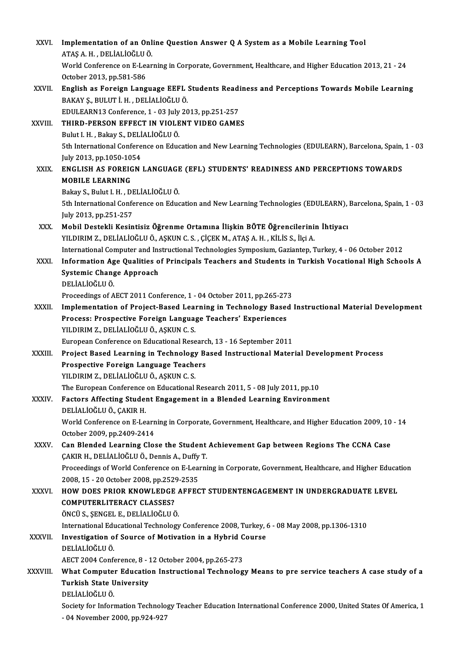| XXVI.        | Implementation of an Online Question Answer Q A System as a Mobile Learning Tool<br>ATAŞ A.H., DELİALIOĞLU Ö.                                                                                |
|--------------|----------------------------------------------------------------------------------------------------------------------------------------------------------------------------------------------|
|              | World Conference on E-Learning in Corporate, Government, Healthcare, and Higher Education 2013, 21 - 24                                                                                      |
|              | October 2013, pp.581-586                                                                                                                                                                     |
| XXVII.       | English as Foreign Language EEFL Students Readiness and Perceptions Towards Mobile Learning                                                                                                  |
|              | BAKAY Ş., BULUT İ. H., DELİALİOĞLU Ö.                                                                                                                                                        |
|              | EDULEARN13 Conference, 1 - 03 July 2013, pp.251-257                                                                                                                                          |
| XXVIII.      | THIRD-PERSON EFFECT IN VIOLENT VIDEO GAMES                                                                                                                                                   |
|              | Bulut I H., Bakay S., DELİALİOĞLU Ö.                                                                                                                                                         |
|              | 5th International Conference on Education and New Learning Technologies (EDULEARN), Barcelona, Spain, 1 - 03                                                                                 |
|              | July 2013, pp 1050-1054                                                                                                                                                                      |
| XXIX.        | ENGLISH AS FOREIGN LANGUAGE (EFL) STUDENTS' READINESS AND PERCEPTIONS TOWARDS                                                                                                                |
|              | <b>MOBILE LEARNING</b>                                                                                                                                                                       |
|              | Bakay S., Bulut I. H., DELIALIOĞLU Ö.                                                                                                                                                        |
|              | 5th International Conference on Education and New Learning Technologies (EDULEARN), Barcelona, Spain, 1 - 03                                                                                 |
|              | July 2013, pp 251-257                                                                                                                                                                        |
| XXX.         | Mobil Destekli Kesintisiz Öğrenme Ortamına İlişkin BÖTE Öğrencilerinin İhtiyacı                                                                                                              |
|              | YILDIRIM Z., DELİALİOĞLU Ö., AŞKUN C. S., ÇİÇEK M., ATAŞ A. H., KİLİS S., İlçi A.<br>International Computer and Instructional Technologies Symposium, Gaziantep, Turkey, 4 - 06 October 2012 |
| XXXI.        | Information Age Qualities of Principals Teachers and Students in Turkish Vocational High Schools A                                                                                           |
|              | Systemic Change Approach                                                                                                                                                                     |
|              | DELİALİOĞLU Ö.                                                                                                                                                                               |
|              | Proceedings of AECT 2011 Conference, 1 - 04 October 2011, pp.265-273                                                                                                                         |
| XXXII.       | Implementation of Project-Based Learning in Technology Based Instructional Material Development                                                                                              |
|              | Process: Prospective Foreign Language Teachers' Experiences                                                                                                                                  |
|              | YILDIRIM Z., DELİALİOĞLU Ö., AŞKUN C. S.                                                                                                                                                     |
|              | European Conference on Educational Research, 13 - 16 September 2011                                                                                                                          |
| XXXIII.      | Project Based Learning in Technology Based Instructional Material Development Process                                                                                                        |
|              | Prospective Foreign Language Teachers                                                                                                                                                        |
|              | YILDIRIM Z., DELİALİOĞLU Ö., AŞKUN C. S.                                                                                                                                                     |
|              | The European Conference on Educational Research 2011, 5 - 08 July 2011, pp.10                                                                                                                |
| <b>XXXIV</b> | Factors Affecting Student Engagement in a Blended Learning Environment                                                                                                                       |
|              | DELIALIOĞLU Ö, ÇAKIR H.                                                                                                                                                                      |
|              | World Conference on E-Learning in Corporate, Government, Healthcare, and Higher Education 2009, 10 - 14                                                                                      |
| XXXV.        | October 2009, pp.2409-2414<br>Can Blended Learning Close the Student Achievement Gap between Regions The CCNA Case                                                                           |
|              | ÇAKIR H., DELİALİOĞLU Ö., Dennis A., Duffy T.                                                                                                                                                |
|              | Proceedings of World Conference on E-Learning in Corporate, Government, Healthcare, and Higher Education                                                                                     |
|              | 2008, 15 - 20 October 2008, pp.2529-2535                                                                                                                                                     |
| <b>XXXVI</b> | HOW DOES PRIOR KNOWLEDGE AFFECT STUDENTENGAGEMENT IN UNDERGRADUATE LEVEL                                                                                                                     |
|              | <b>COMPUTERLITERACY CLASSES?</b>                                                                                                                                                             |
|              | ÖNCÜ S., ŞENGEL E., DELİALİOĞLU Ö.                                                                                                                                                           |
|              | International Educational Technology Conference 2008, Turkey, 6 - 08 May 2008, pp.1306-1310                                                                                                  |
| XXXVII.      | Investigation of Source of Motivation in a Hybrid Course                                                                                                                                     |
|              | DELIALIOĞLU Ö.                                                                                                                                                                               |
|              | AECT 2004 Conference, 8 - 12 October 2004, pp.265-273                                                                                                                                        |
| XXXVIII.     | What Computer Education Instructional Technology Means to pre service teachers A case study of a                                                                                             |
|              | <b>Turkish State University</b>                                                                                                                                                              |
|              | DELIALIOĞLU Ö.                                                                                                                                                                               |
|              | Society for Information Technology Teacher Education International Conference 2000, United States Of America, 1<br>- 04 November 2000, pp 924-927                                            |
|              |                                                                                                                                                                                              |